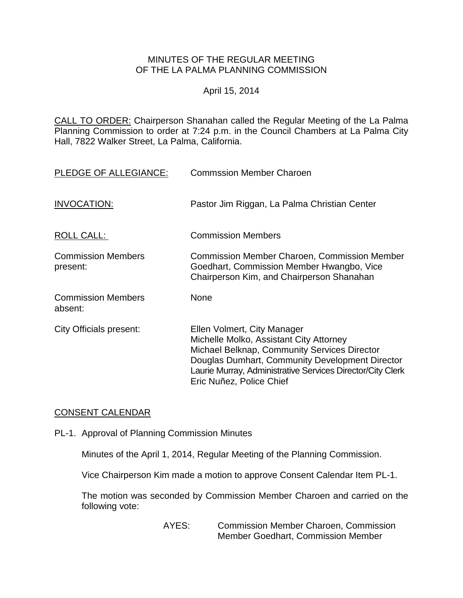# MINUTES OF THE REGULAR MEETING OF THE LA PALMA PLANNING COMMISSION

## April 15, 2014

CALL TO ORDER: Chairperson [Shanahan called the Regular Meeting of the La Palma](http://lapalma.granicus.com/MediaPlayerFrameHandler.php?view_id=&clip_id=821&meta_id=108280)  Planning Commission to order at 7:24 [p.m. in the Council Chambers at La Palma City](http://lapalma.granicus.com/MediaPlayerFrameHandler.php?view_id=&clip_id=821&meta_id=108280)  [Hall, 7822 Walker Street, La Palma, California.](http://lapalma.granicus.com/MediaPlayerFrameHandler.php?view_id=&clip_id=821&meta_id=108280)

| PLEDGE OF ALLEGIANCE:                 | <b>Commssion Member Charoen</b>                                                                                                                                                                                                                                     |
|---------------------------------------|---------------------------------------------------------------------------------------------------------------------------------------------------------------------------------------------------------------------------------------------------------------------|
| <b>INVOCATION:</b>                    | Pastor Jim Riggan, La Palma Christian Center                                                                                                                                                                                                                        |
| ROLL CALL:                            | <b>Commission Members</b>                                                                                                                                                                                                                                           |
| <b>Commission Members</b><br>present: | <b>Commission Member Charoen, Commission Member</b><br>Goedhart, Commission Member Hwangbo, Vice<br>Chairperson Kim, and Chairperson Shanahan                                                                                                                       |
| <b>Commission Members</b><br>absent:  | None                                                                                                                                                                                                                                                                |
| <b>City Officials present:</b>        | Ellen Volmert, City Manager<br>Michelle Molko, Assistant City Attorney<br>Michael Belknap, Community Services Director<br>Douglas Dumhart, Community Development Director<br>Laurie Murray, Administrative Services Director/City Clerk<br>Eric Nuñez, Police Chief |

# [CONSENT CALENDAR](http://lapalma.granicus.com/MediaPlayerFrameHandler.php?view_id=&clip_id=821&meta_id=108301)

PL-1. Approval of Planning Commission Minutes

Minutes of the April 1, 2014, Regular Meeting of the Planning Commission.

Vice Chairperson Kim made a motion to approve Consent Calendar Item PL-1.

The motion was seconded by Commission Member Charoen and carried on the following vote:

> AYES: Commission Member Charoen, Commission Member Goedhart, Commission Member